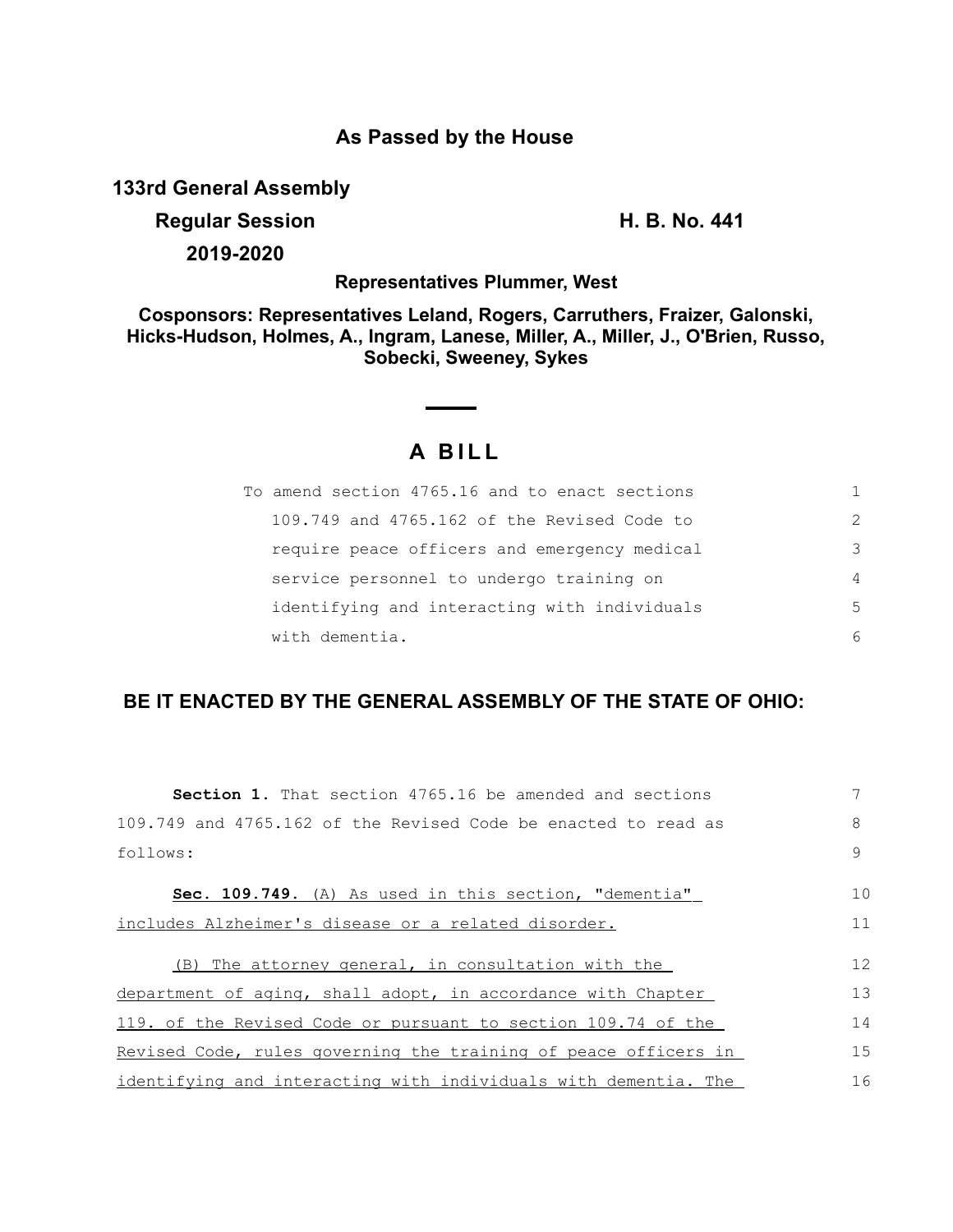### **As Passed by the House**

**133rd General Assembly**

**Regular Session H. B. No. 441**

**2019-2020**

**Representatives Plummer, West**

**Cosponsors: Representatives Leland, Rogers, Carruthers, Fraizer, Galonski, Hicks-Hudson, Holmes, A., Ingram, Lanese, Miller, A., Miller, J., O'Brien, Russo, Sobecki, Sweeney, Sykes**

# **A BILL**

| To amend section 4765.16 and to enact sections |                |
|------------------------------------------------|----------------|
| 109.749 and 4765.162 of the Revised Code to    | 2              |
| require peace officers and emergency medical   | 3              |
| service personnel to undergo training on       | $\overline{4}$ |
| identifying and interacting with individuals   | 5              |
| with dementia.                                 | 6              |

## **BE IT ENACTED BY THE GENERAL ASSEMBLY OF THE STATE OF OHIO:**

| <b>Section 1.</b> That section 4765.16 be amended and sections  |    |
|-----------------------------------------------------------------|----|
| 109.749 and 4765.162 of the Revised Code be enacted to read as  | 8  |
| follows:                                                        | 9  |
| Sec. 109.749. (A) As used in this section, "dementia"           | 10 |
| includes Alzheimer's disease or a related disorder.             |    |
| (B) The attorney general, in consultation with the              | 12 |
| department of aging, shall adopt, in accordance with Chapter    | 13 |
| 119. of the Revised Code or pursuant to section 109.74 of the   | 14 |
| Revised Code, rules governing the training of peace officers in | 15 |
| identifying and interacting with individuals with dementia. The | 16 |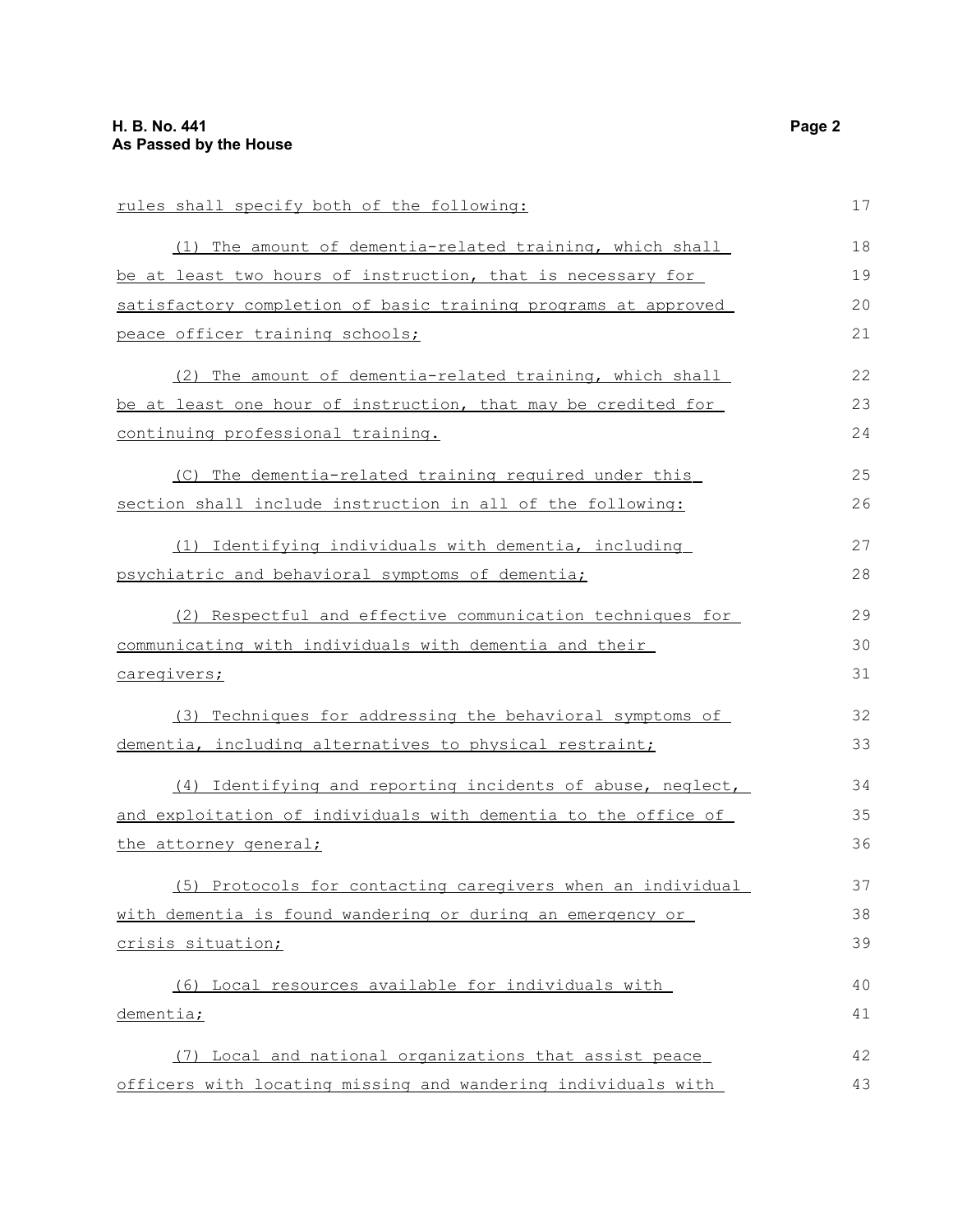rules shall specify both of the following: (1) The amount of dementia-related training, which shall be at least two hours of instruction, that is necessary for satisfactory completion of basic training programs at approved peace officer training schools; (2) The amount of dementia-related training, which shall be at least one hour of instruction, that may be credited for continuing professional training. (C) The dementia-related training required under this section shall include instruction in all of the following: (1) Identifying individuals with dementia, including psychiatric and behavioral symptoms of dementia; (2) Respectful and effective communication techniques for communicating with individuals with dementia and their caregivers; (3) Techniques for addressing the behavioral symptoms of dementia, including alternatives to physical restraint; (4) Identifying and reporting incidents of abuse, neglect, and exploitation of individuals with dementia to the office of the attorney general; (5) Protocols for contacting caregivers when an individual with dementia is found wandering or during an emergency or crisis situation; (6) Local resources available for individuals with dementia; (7) Local and national organizations that assist peace officers with locating missing and wandering individuals with 17 18 19 20 21 22 23 24 25 26 27 28 29 30 31 32 33 34 35 36 37 38 39 40 41 42 43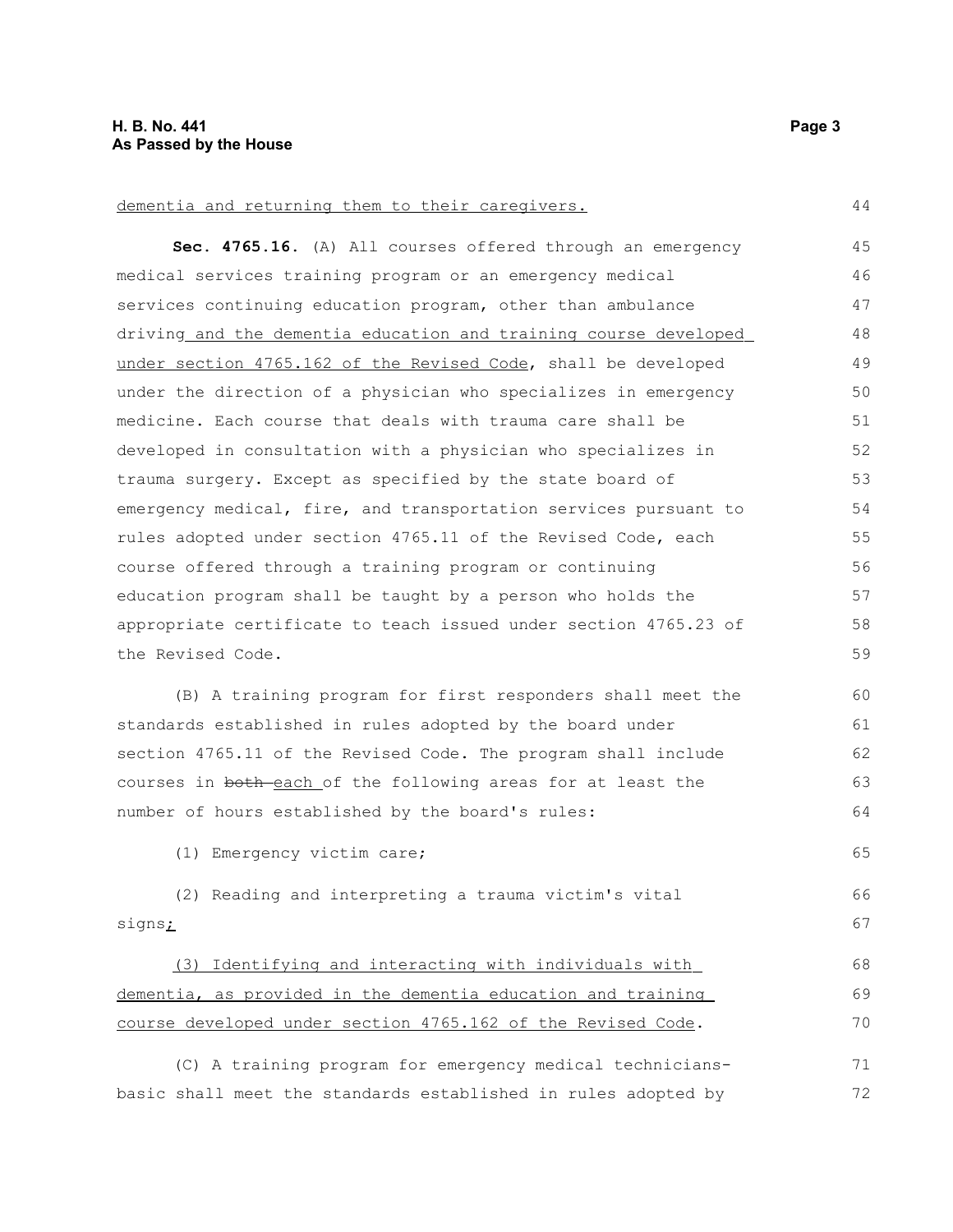#### dementia and returning them to their caregivers.

**Sec. 4765.16.** (A) All courses offered through an emergency medical services training program or an emergency medical services continuing education program, other than ambulance driving and the dementia education and training course developed under section 4765.162 of the Revised Code, shall be developed under the direction of a physician who specializes in emergency medicine. Each course that deals with trauma care shall be developed in consultation with a physician who specializes in trauma surgery. Except as specified by the state board of emergency medical, fire, and transportation services pursuant to rules adopted under section 4765.11 of the Revised Code, each course offered through a training program or continuing education program shall be taught by a person who holds the appropriate certificate to teach issued under section 4765.23 of the Revised Code. 45 46 47 48 49 50 51 52 53 54 55 56 57 58 59

(B) A training program for first responders shall meet the standards established in rules adopted by the board under section 4765.11 of the Revised Code. The program shall include courses in both each of the following areas for at least the number of hours established by the board's rules: 60 61 62 63 64

(1) Emergency victim care;

(2) Reading and interpreting a trauma victim's vital signs<sub>i</sub>

 (3) Identifying and interacting with individuals with dementia, as provided in the dementia education and training course developed under section 4765.162 of the Revised Code.

(C) A training program for emergency medical techniciansbasic shall meet the standards established in rules adopted by 71 72

44

65

66 67

68 69 70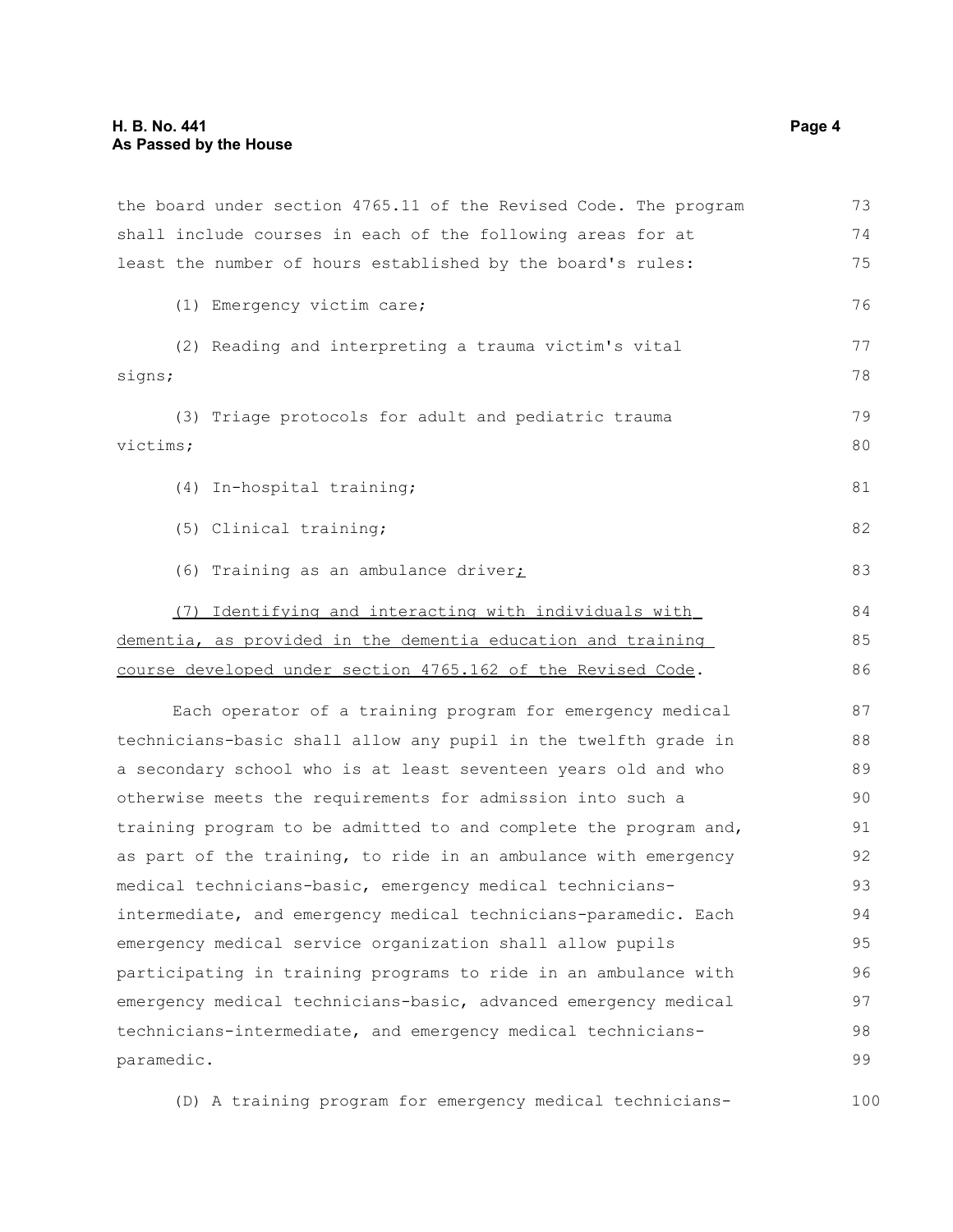| the board under section 4765.11 of the Revised Code. The program | 73 |
|------------------------------------------------------------------|----|
| shall include courses in each of the following areas for at      | 74 |
| least the number of hours established by the board's rules:      | 75 |
| (1) Emergency victim care;                                       | 76 |
| (2) Reading and interpreting a trauma victim's vital             | 77 |
| signs;                                                           | 78 |
| (3) Triage protocols for adult and pediatric trauma              | 79 |
| victims;                                                         | 80 |
| (4) In-hospital training;                                        | 81 |
| (5) Clinical training;                                           | 82 |
| (6) Training as an ambulance driver;                             | 83 |
| (7) Identifying and interacting with individuals with            | 84 |
| dementia, as provided in the dementia education and training     | 85 |
| course developed under section 4765.162 of the Revised Code.     |    |
| Each operator of a training program for emergency medical        | 87 |
| technicians-basic shall allow any pupil in the twelfth grade in  | 88 |
| a secondary school who is at least seventeen years old and who   | 89 |
| otherwise meets the requirements for admission into such a       | 90 |
| training program to be admitted to and complete the program and, | 91 |
| as part of the training, to ride in an ambulance with emergency  | 92 |
| medical technicians-basic, emergency medical technicians-        | 93 |
| intermediate, and emergency medical technicians-paramedic. Each  | 94 |
| emergency medical service organization shall allow pupils        | 95 |
| participating in training programs to ride in an ambulance with  | 96 |
| emergency medical technicians-basic, advanced emergency medical  | 97 |
| technicians-intermediate, and emergency medical technicians-     | 98 |
| paramedic.                                                       | 99 |
|                                                                  |    |

(D) A training program for emergency medical technicians-100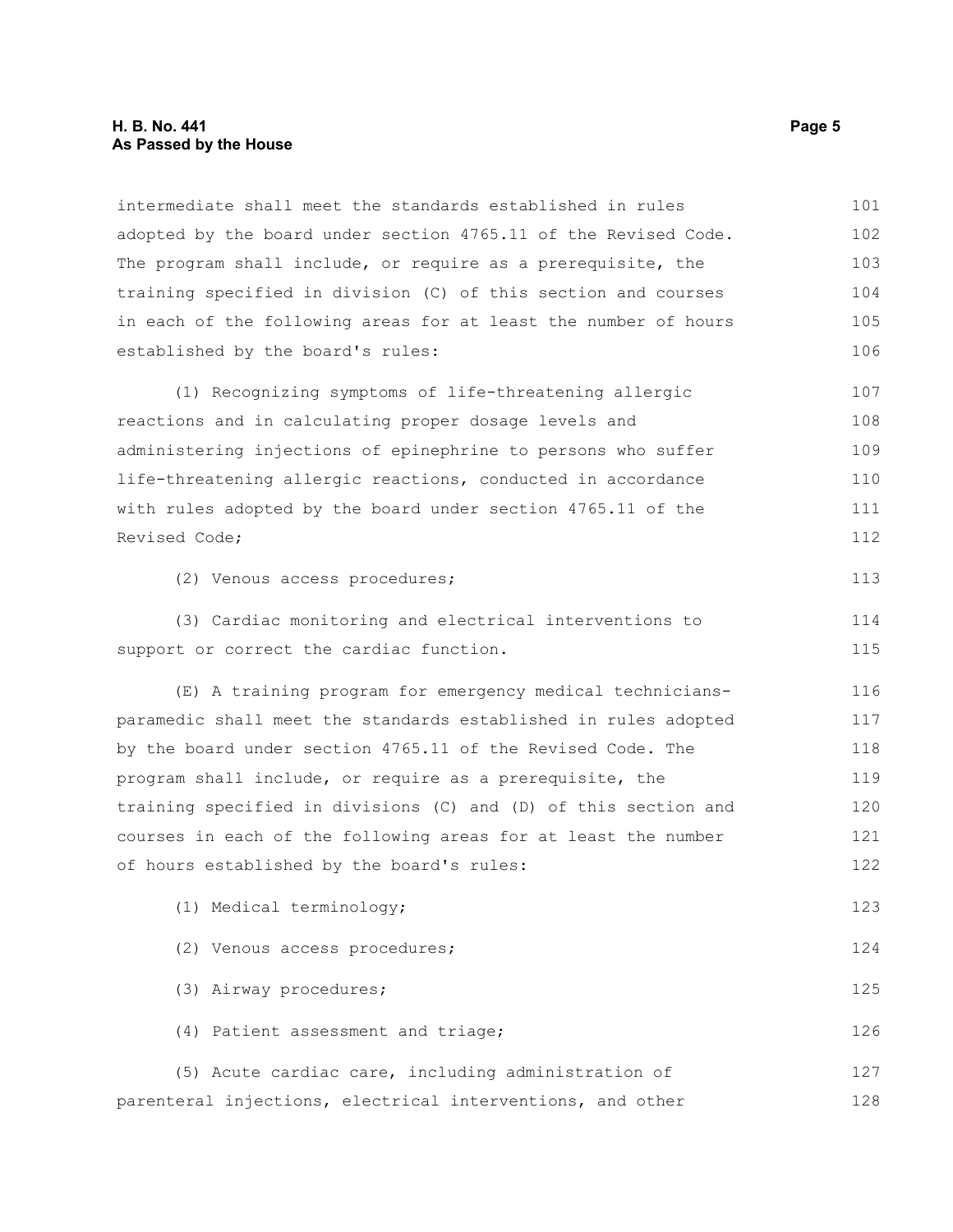### **H. B. No. 441 Page 5 As Passed by the House**

intermediate shall meet the standards established in rules adopted by the board under section 4765.11 of the Revised Code. The program shall include, or require as a prerequisite, the training specified in division (C) of this section and courses in each of the following areas for at least the number of hours established by the board's rules: 101 102 103 104 105 106

(1) Recognizing symptoms of life-threatening allergic reactions and in calculating proper dosage levels and administering injections of epinephrine to persons who suffer life-threatening allergic reactions, conducted in accordance with rules adopted by the board under section 4765.11 of the Revised Code; 107 108 109 110 111 112

(2) Venous access procedures;

(3) Cardiac monitoring and electrical interventions to support or correct the cardiac function. 114 115

(E) A training program for emergency medical techniciansparamedic shall meet the standards established in rules adopted by the board under section 4765.11 of the Revised Code. The program shall include, or require as a prerequisite, the training specified in divisions (C) and (D) of this section and courses in each of the following areas for at least the number of hours established by the board's rules: 116 117 118 119 120 121 122

(1) Medical terminology; (2) Venous access procedures; (3) Airway procedures; (4) Patient assessment and triage; (5) Acute cardiac care, including administration of parenteral injections, electrical interventions, and other 123 124 125 126 127 128

113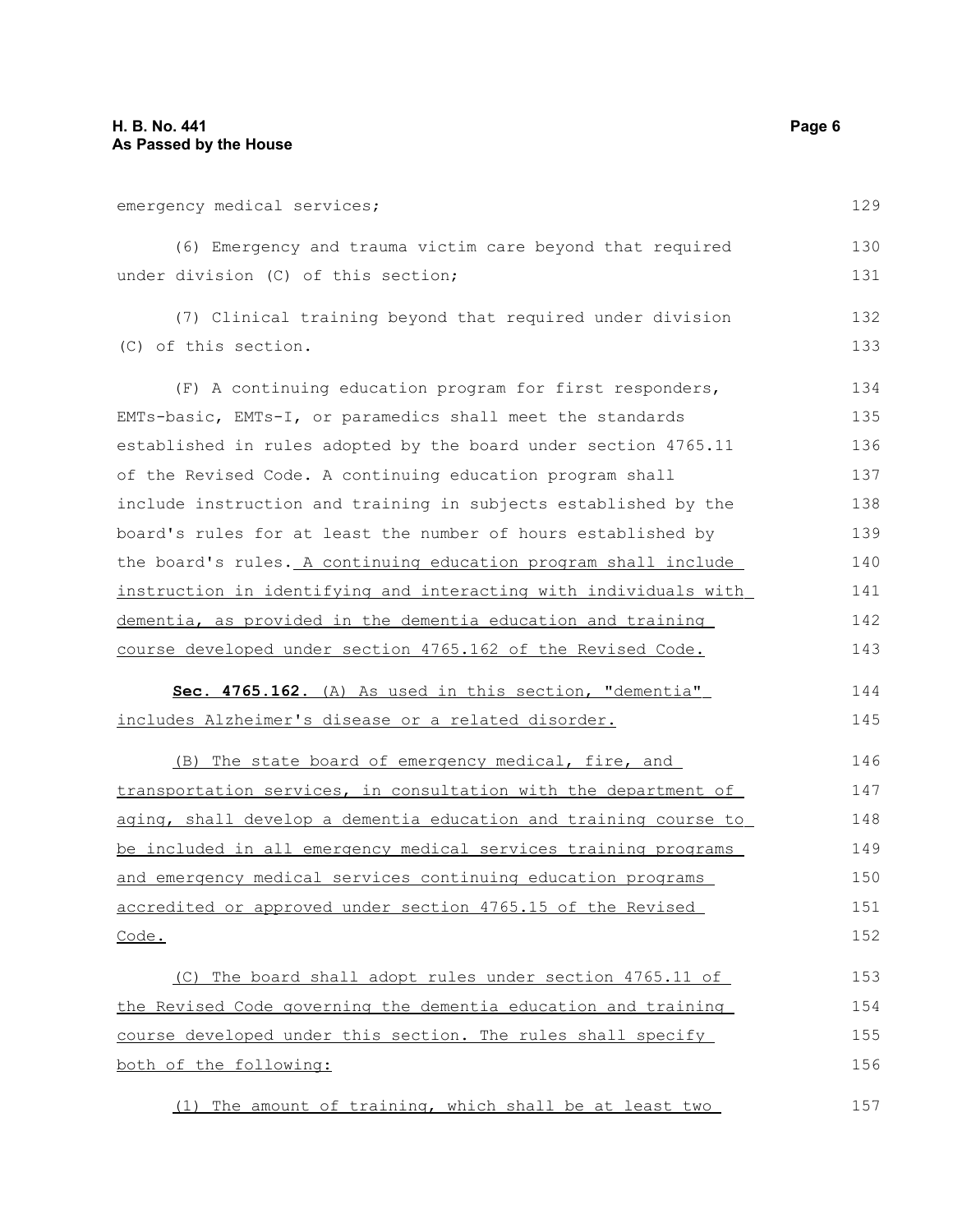| emergency medical services;                                      | 129 |
|------------------------------------------------------------------|-----|
| (6) Emergency and trauma victim care beyond that required        | 130 |
| under division (C) of this section;                              | 131 |
| (7) Clinical training beyond that required under division        | 132 |
| (C) of this section.                                             | 133 |
| (F) A continuing education program for first responders,         | 134 |
| EMTs-basic, EMTs-I, or paramedics shall meet the standards       | 135 |
| established in rules adopted by the board under section 4765.11  | 136 |
| of the Revised Code. A continuing education program shall        | 137 |
| include instruction and training in subjects established by the  | 138 |
| board's rules for at least the number of hours established by    | 139 |
| the board's rules. A continuing education program shall include  | 140 |
| instruction in identifying and interacting with individuals with | 141 |
| dementia, as provided in the dementia education and training     | 142 |
| course developed under section 4765.162 of the Revised Code.     | 143 |
| Sec. 4765.162. (A) As used in this section, "dementia"           | 144 |
| includes Alzheimer's disease or a related disorder.              | 145 |
| (B) The state board of emergency medical, fire, and              | 146 |
| transportation services, in consultation with the department of  | 147 |
| aging, shall develop a dementia education and training course to | 148 |
| be included in all emergency medical services training programs  | 149 |
| and emergency medical services continuing education programs     | 150 |
| accredited or approved under section 4765.15 of the Revised      | 151 |
| Code.                                                            | 152 |
|                                                                  |     |
| (C) The board shall adopt rules under section 4765.11 of         | 153 |
| the Revised Code governing the dementia education and training   | 154 |
| course developed under this section. The rules shall specify     | 155 |
| both of the following:                                           | 156 |
| (1)<br>The amount of training, which shall be at least two       | 157 |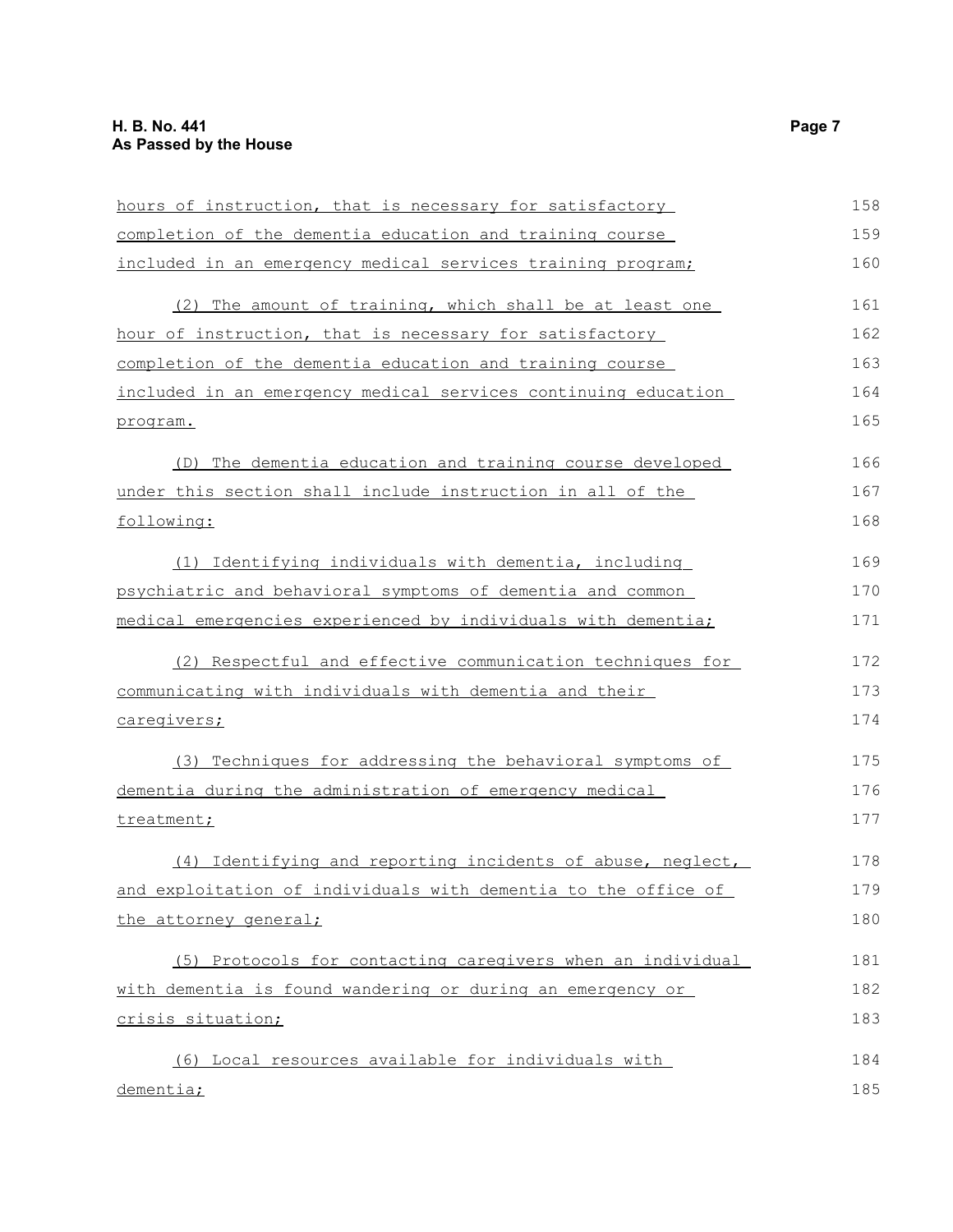| hours of instruction, that is necessary for satisfactory       | 158 |
|----------------------------------------------------------------|-----|
| completion of the dementia education and training course       | 159 |
| included in an emergency medical services training program;    | 160 |
| The amount of training, which shall be at least one<br>(2)     | 161 |
| hour of instruction, that is necessary for satisfactory        | 162 |
| completion of the dementia education and training course       | 163 |
| included in an emergency medical services continuing education | 164 |
| program.                                                       | 165 |
| (D) The dementia education and training course developed       | 166 |
| under this section shall include instruction in all of the     | 167 |
| following:                                                     | 168 |
| (1) Identifying individuals with dementia, including           | 169 |
| psychiatric and behavioral symptoms of dementia and common     | 170 |
| medical emergencies experienced by individuals with dementia;  | 171 |
| (2) Respectful and effective communication techniques for      | 172 |
| communicating with individuals with dementia and their         | 173 |
| caregivers;                                                    | 174 |
| (3) Techniques for addressing the behavioral symptoms of       | 175 |
| dementia during the administration of emergency medical        | 176 |
| treatment;                                                     | 177 |
| (4) Identifying and reporting incidents of abuse, neglect,     | 178 |
| and exploitation of individuals with dementia to the office of | 179 |
| the attorney general;                                          | 180 |
| (5) Protocols for contacting caregivers when an individual     | 181 |
| with dementia is found wandering or during an emergency or     | 182 |
| crisis situation;                                              | 183 |
| (6) Local resources available for individuals with             | 184 |
| dementia;                                                      | 185 |